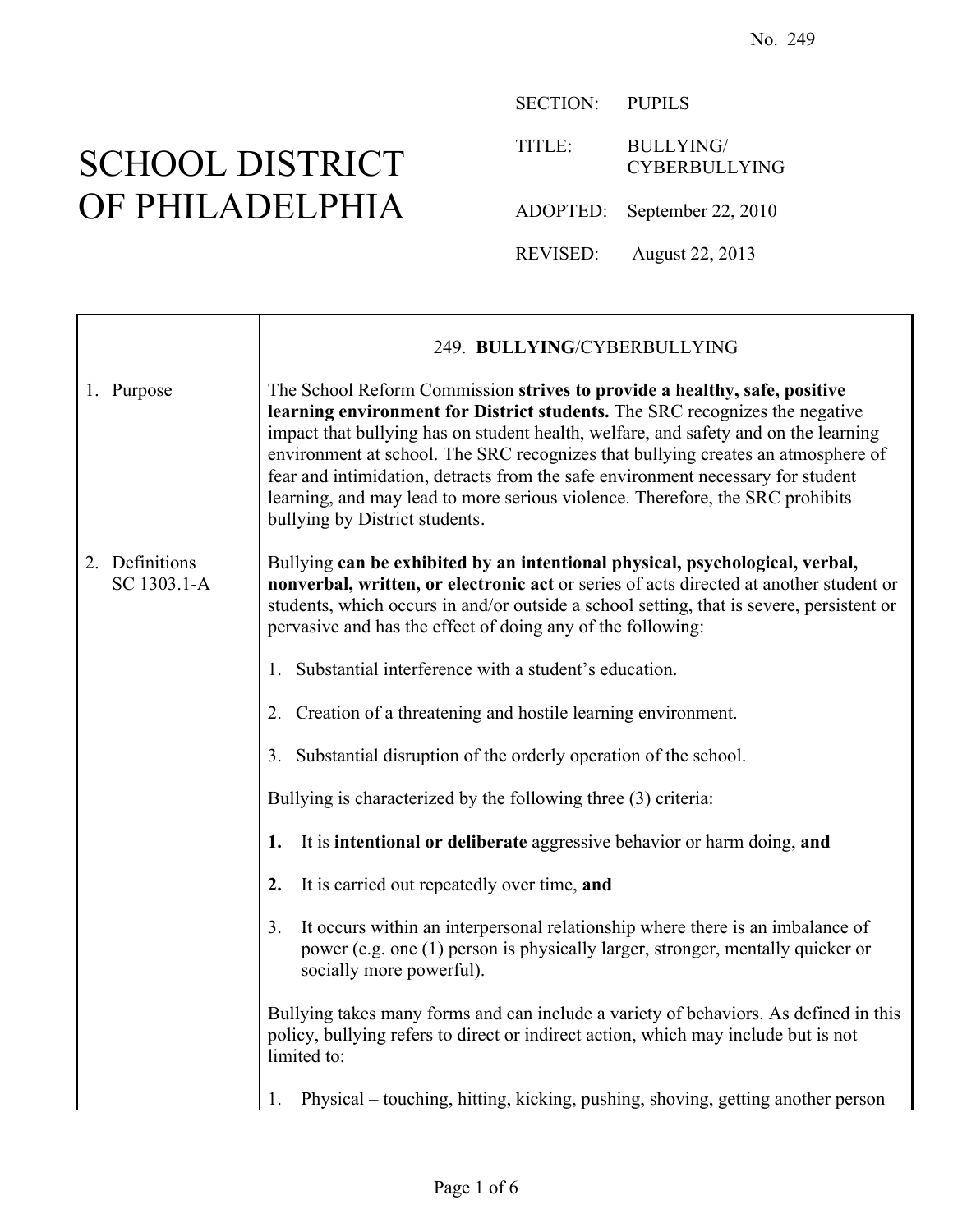٦

## SCHOOL DISTRICT OF PHILADELPHIA

г

SECTION: PUPILS

TITLE: BULLYING/ CYBERBULLYING

ADOPTED: September 22, 2010

REVISED: August 22, 2013

|                               | 249. BULLYING/CYBERBULLYING                                                                                                                                                                                                                                                                                                                                                                                                                                                                                                               |
|-------------------------------|-------------------------------------------------------------------------------------------------------------------------------------------------------------------------------------------------------------------------------------------------------------------------------------------------------------------------------------------------------------------------------------------------------------------------------------------------------------------------------------------------------------------------------------------|
| 1. Purpose                    | The School Reform Commission strives to provide a healthy, safe, positive<br>learning environment for District students. The SRC recognizes the negative<br>impact that bullying has on student health, welfare, and safety and on the learning<br>environment at school. The SRC recognizes that bullying creates an atmosphere of<br>fear and intimidation, detracts from the safe environment necessary for student<br>learning, and may lead to more serious violence. Therefore, the SRC prohibits<br>bullying by District students. |
| 2. Definitions<br>SC 1303.1-A | Bullying can be exhibited by an intentional physical, psychological, verbal,<br>nonverbal, written, or electronic act or series of acts directed at another student or<br>students, which occurs in and/or outside a school setting, that is severe, persistent or<br>pervasive and has the effect of doing any of the following:                                                                                                                                                                                                         |
|                               | 1. Substantial interference with a student's education.                                                                                                                                                                                                                                                                                                                                                                                                                                                                                   |
|                               | 2. Creation of a threatening and hostile learning environment.                                                                                                                                                                                                                                                                                                                                                                                                                                                                            |
|                               | 3. Substantial disruption of the orderly operation of the school.                                                                                                                                                                                                                                                                                                                                                                                                                                                                         |
|                               | Bullying is characterized by the following three (3) criteria:                                                                                                                                                                                                                                                                                                                                                                                                                                                                            |
|                               | It is intentional or deliberate aggressive behavior or harm doing, and<br>1.                                                                                                                                                                                                                                                                                                                                                                                                                                                              |
|                               | It is carried out repeatedly over time, and<br>2.                                                                                                                                                                                                                                                                                                                                                                                                                                                                                         |
|                               | It occurs within an interpersonal relationship where there is an imbalance of<br>3 <sub>1</sub><br>power (e.g. one (1) person is physically larger, stronger, mentally quicker or<br>socially more powerful).                                                                                                                                                                                                                                                                                                                             |
|                               | Bullying takes many forms and can include a variety of behaviors. As defined in this<br>policy, bullying refers to direct or indirect action, which may include but is not<br>limited to:                                                                                                                                                                                                                                                                                                                                                 |
|                               | Physical – touching, hitting, kicking, pushing, shoving, getting another person                                                                                                                                                                                                                                                                                                                                                                                                                                                           |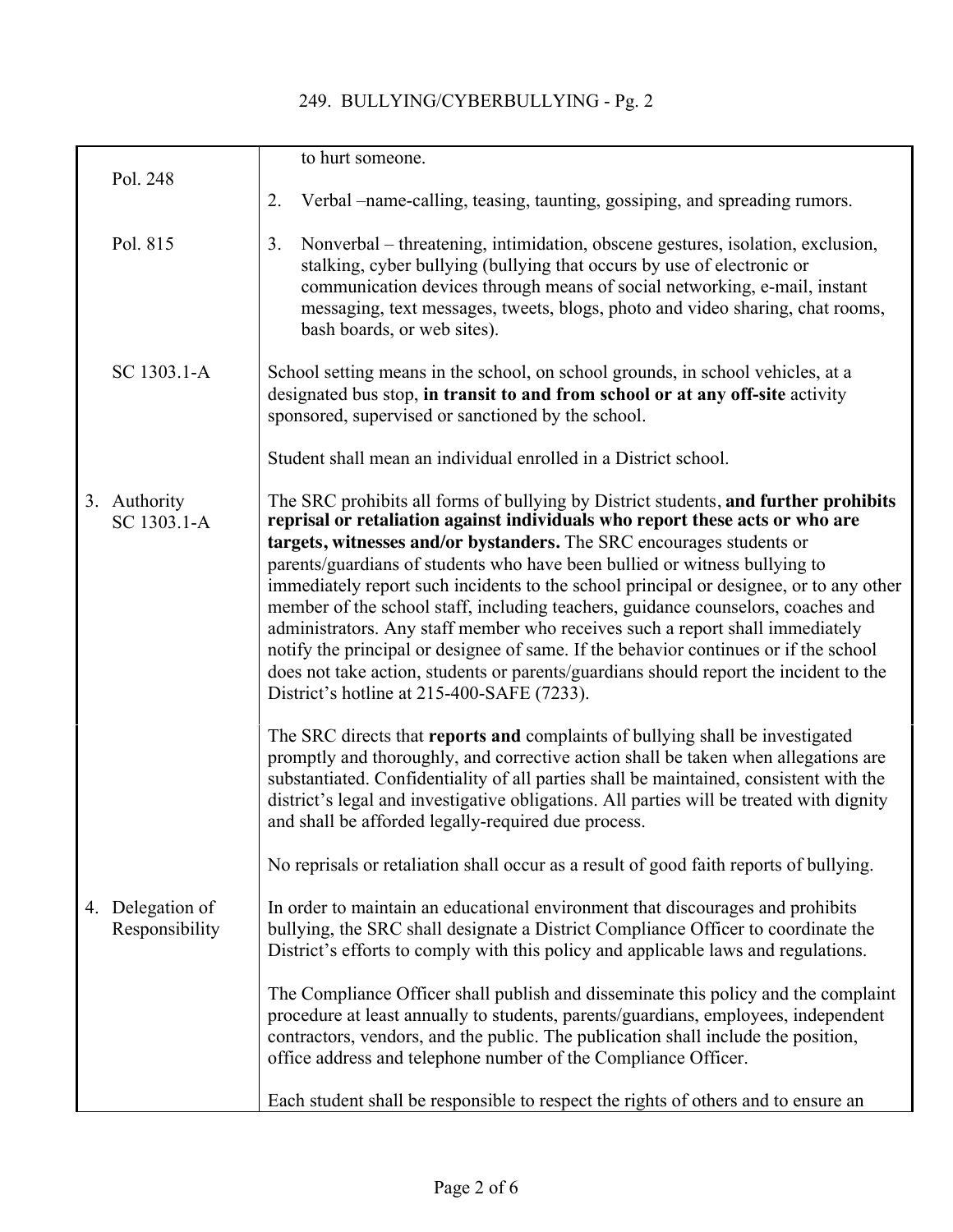## 249. BULLYING/CYBERBULLYING - Pg. 2

|    | Pol. 248                        | to hurt someone.                                                                                                                                                                                                                                                                                                                                                                                                                                                                                                                                                                                                                                                                                                                                                                                                        |
|----|---------------------------------|-------------------------------------------------------------------------------------------------------------------------------------------------------------------------------------------------------------------------------------------------------------------------------------------------------------------------------------------------------------------------------------------------------------------------------------------------------------------------------------------------------------------------------------------------------------------------------------------------------------------------------------------------------------------------------------------------------------------------------------------------------------------------------------------------------------------------|
|    |                                 | Verbal –name-calling, teasing, taunting, gossiping, and spreading rumors.<br>2.                                                                                                                                                                                                                                                                                                                                                                                                                                                                                                                                                                                                                                                                                                                                         |
|    | Pol. 815                        | Nonverbal – threatening, intimidation, obscene gestures, isolation, exclusion,<br>3.<br>stalking, cyber bullying (bullying that occurs by use of electronic or<br>communication devices through means of social networking, e-mail, instant<br>messaging, text messages, tweets, blogs, photo and video sharing, chat rooms,<br>bash boards, or web sites).                                                                                                                                                                                                                                                                                                                                                                                                                                                             |
|    | SC 1303.1-A                     | School setting means in the school, on school grounds, in school vehicles, at a<br>designated bus stop, in transit to and from school or at any off-site activity<br>sponsored, supervised or sanctioned by the school.                                                                                                                                                                                                                                                                                                                                                                                                                                                                                                                                                                                                 |
|    |                                 | Student shall mean an individual enrolled in a District school.                                                                                                                                                                                                                                                                                                                                                                                                                                                                                                                                                                                                                                                                                                                                                         |
|    | 3. Authority<br>SC 1303.1-A     | The SRC prohibits all forms of bullying by District students, and further prohibits<br>reprisal or retaliation against individuals who report these acts or who are<br>targets, witnesses and/or bystanders. The SRC encourages students or<br>parents/guardians of students who have been bullied or witness bullying to<br>immediately report such incidents to the school principal or designee, or to any other<br>member of the school staff, including teachers, guidance counselors, coaches and<br>administrators. Any staff member who receives such a report shall immediately<br>notify the principal or designee of same. If the behavior continues or if the school<br>does not take action, students or parents/guardians should report the incident to the<br>District's hotline at 215-400-SAFE (7233). |
|    |                                 | The SRC directs that reports and complaints of bullying shall be investigated<br>promptly and thoroughly, and corrective action shall be taken when allegations are<br>substantiated. Confidentiality of all parties shall be maintained, consistent with the<br>district's legal and investigative obligations. All parties will be treated with dignity<br>and shall be afforded legally-required due process.<br>No reprisals or retaliation shall occur as a result of good faith reports of bullying.                                                                                                                                                                                                                                                                                                              |
| 4. | Delegation of<br>Responsibility | In order to maintain an educational environment that discourages and prohibits<br>bullying, the SRC shall designate a District Compliance Officer to coordinate the<br>District's efforts to comply with this policy and applicable laws and regulations.                                                                                                                                                                                                                                                                                                                                                                                                                                                                                                                                                               |
|    |                                 | The Compliance Officer shall publish and disseminate this policy and the complaint<br>procedure at least annually to students, parents/guardians, employees, independent<br>contractors, vendors, and the public. The publication shall include the position,<br>office address and telephone number of the Compliance Officer.                                                                                                                                                                                                                                                                                                                                                                                                                                                                                         |
|    |                                 | Each student shall be responsible to respect the rights of others and to ensure an                                                                                                                                                                                                                                                                                                                                                                                                                                                                                                                                                                                                                                                                                                                                      |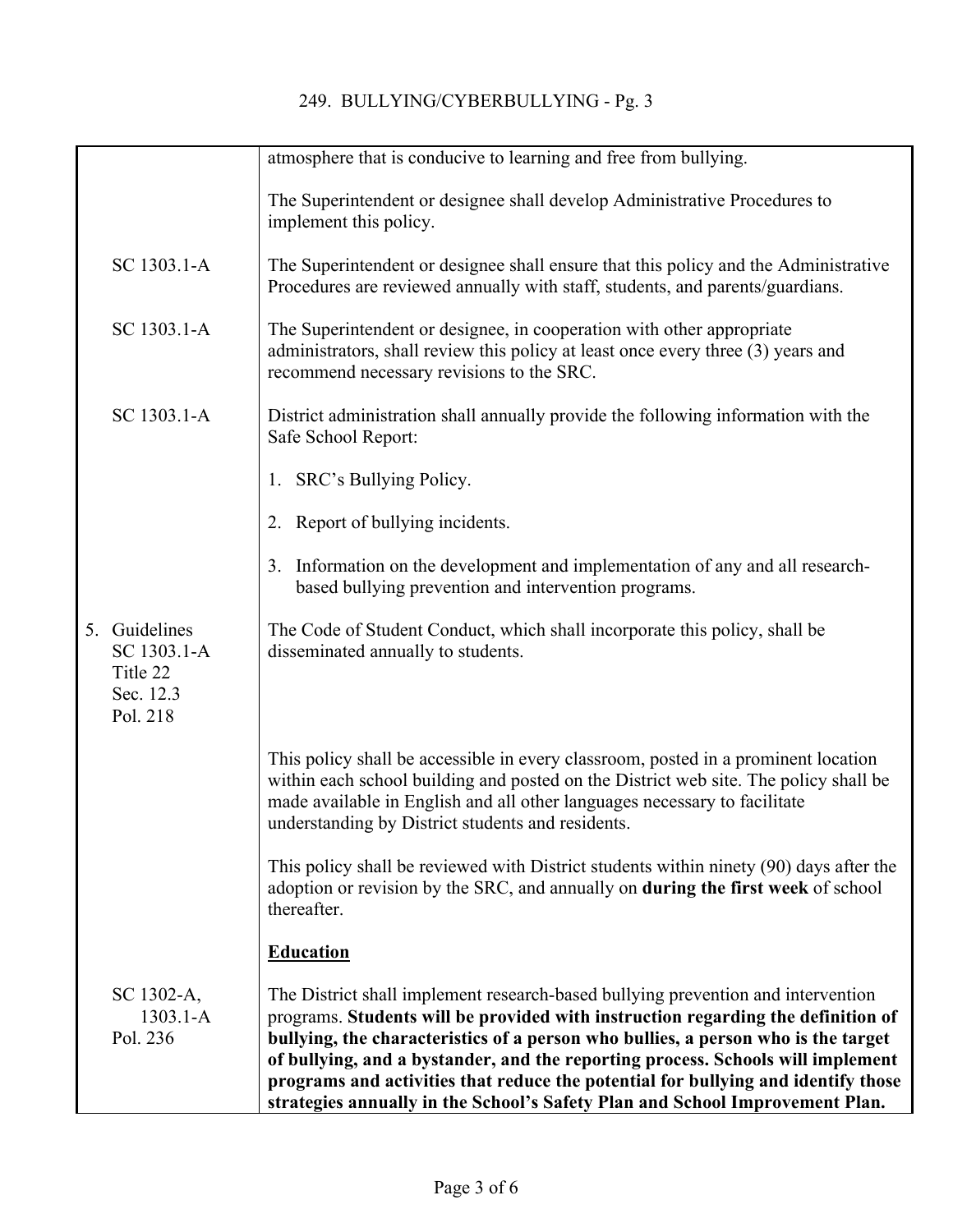|                                                                   | atmosphere that is conducive to learning and free from bullying.                                                                                                                                                                                                                                                                                                                                                                                                                                                  |
|-------------------------------------------------------------------|-------------------------------------------------------------------------------------------------------------------------------------------------------------------------------------------------------------------------------------------------------------------------------------------------------------------------------------------------------------------------------------------------------------------------------------------------------------------------------------------------------------------|
|                                                                   | The Superintendent or designee shall develop Administrative Procedures to<br>implement this policy.                                                                                                                                                                                                                                                                                                                                                                                                               |
| SC 1303.1-A                                                       | The Superintendent or designee shall ensure that this policy and the Administrative<br>Procedures are reviewed annually with staff, students, and parents/guardians.                                                                                                                                                                                                                                                                                                                                              |
| SC 1303.1-A                                                       | The Superintendent or designee, in cooperation with other appropriate<br>administrators, shall review this policy at least once every three (3) years and<br>recommend necessary revisions to the SRC.                                                                                                                                                                                                                                                                                                            |
| SC 1303.1-A                                                       | District administration shall annually provide the following information with the<br>Safe School Report:                                                                                                                                                                                                                                                                                                                                                                                                          |
|                                                                   | 1. SRC's Bullying Policy.                                                                                                                                                                                                                                                                                                                                                                                                                                                                                         |
|                                                                   | 2. Report of bullying incidents.                                                                                                                                                                                                                                                                                                                                                                                                                                                                                  |
|                                                                   | 3. Information on the development and implementation of any and all research-<br>based bullying prevention and intervention programs.                                                                                                                                                                                                                                                                                                                                                                             |
| 5. Guidelines<br>SC 1303.1-A<br>Title 22<br>Sec. 12.3<br>Pol. 218 | The Code of Student Conduct, which shall incorporate this policy, shall be<br>disseminated annually to students.                                                                                                                                                                                                                                                                                                                                                                                                  |
|                                                                   | This policy shall be accessible in every classroom, posted in a prominent location<br>within each school building and posted on the District web site. The policy shall be<br>made available in English and all other languages necessary to facilitate<br>understanding by District students and residents.                                                                                                                                                                                                      |
|                                                                   | This policy shall be reviewed with District students within ninety (90) days after the<br>adoption or revision by the SRC, and annually on during the first week of school<br>thereafter.                                                                                                                                                                                                                                                                                                                         |
|                                                                   | <b>Education</b>                                                                                                                                                                                                                                                                                                                                                                                                                                                                                                  |
| SC 1302-A,<br>$1303.1 - A$<br>Pol. 236                            | The District shall implement research-based bullying prevention and intervention<br>programs. Students will be provided with instruction regarding the definition of<br>bullying, the characteristics of a person who bullies, a person who is the target<br>of bullying, and a bystander, and the reporting process. Schools will implement<br>programs and activities that reduce the potential for bullying and identify those<br>strategies annually in the School's Safety Plan and School Improvement Plan. |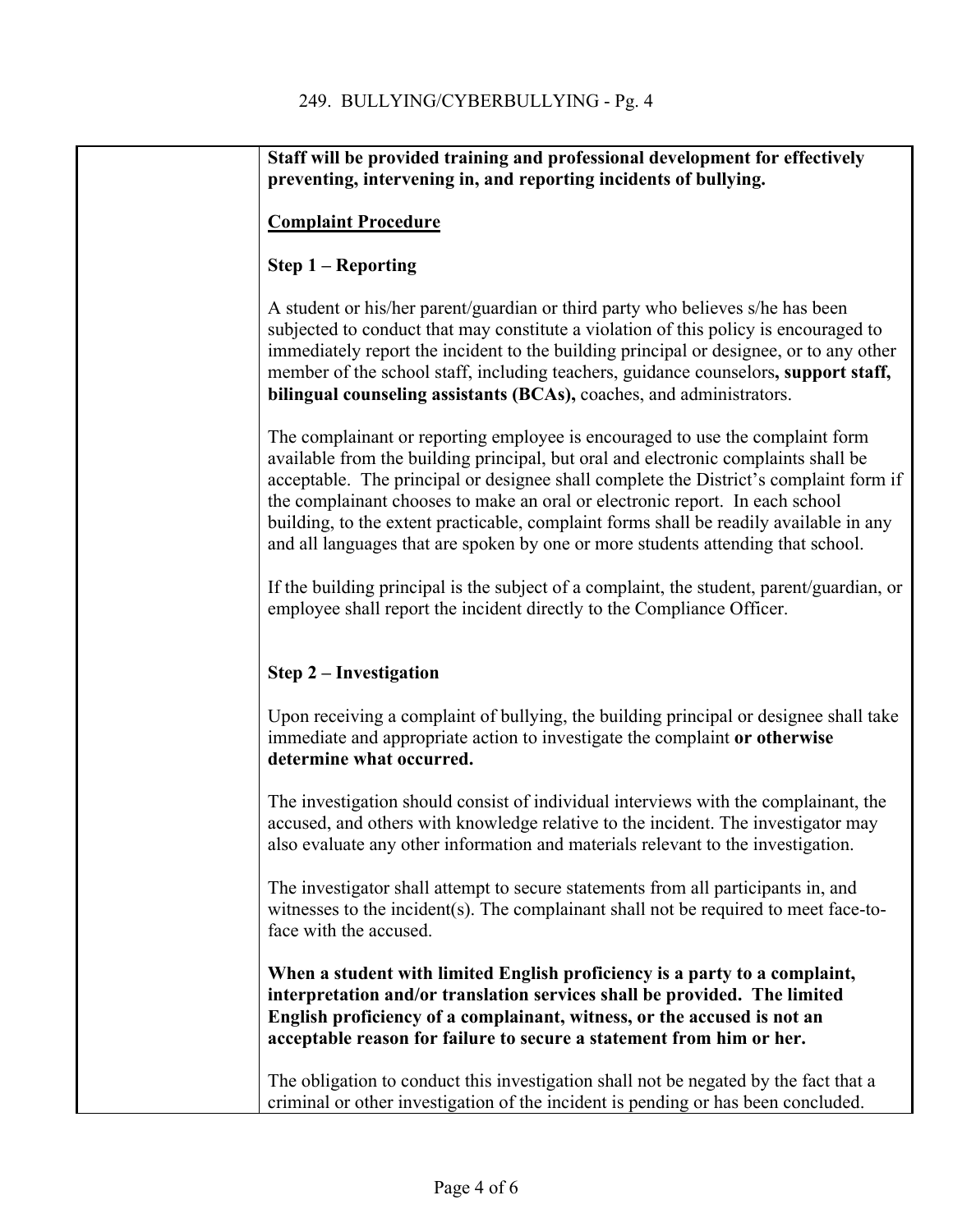| Staff will be provided training and professional development for effectively<br>preventing, intervening in, and reporting incidents of bullying.                                                                                                                                                                                                                                                                                                                                                                           |
|----------------------------------------------------------------------------------------------------------------------------------------------------------------------------------------------------------------------------------------------------------------------------------------------------------------------------------------------------------------------------------------------------------------------------------------------------------------------------------------------------------------------------|
| <b>Complaint Procedure</b>                                                                                                                                                                                                                                                                                                                                                                                                                                                                                                 |
| Step $1 -$ Reporting                                                                                                                                                                                                                                                                                                                                                                                                                                                                                                       |
| A student or his/her parent/guardian or third party who believes s/he has been<br>subjected to conduct that may constitute a violation of this policy is encouraged to<br>immediately report the incident to the building principal or designee, or to any other<br>member of the school staff, including teachers, guidance counselors, support staff,<br>bilingual counseling assistants (BCAs), coaches, and administrators.                                                                                            |
| The complainant or reporting employee is encouraged to use the complaint form<br>available from the building principal, but oral and electronic complaints shall be<br>acceptable. The principal or designee shall complete the District's complaint form if<br>the complainant chooses to make an oral or electronic report. In each school<br>building, to the extent practicable, complaint forms shall be readily available in any<br>and all languages that are spoken by one or more students attending that school. |
| If the building principal is the subject of a complaint, the student, parent/guardian, or<br>employee shall report the incident directly to the Compliance Officer.                                                                                                                                                                                                                                                                                                                                                        |
| <b>Step 2 – Investigation</b>                                                                                                                                                                                                                                                                                                                                                                                                                                                                                              |
| Upon receiving a complaint of bullying, the building principal or designee shall take<br>immediate and appropriate action to investigate the complaint or otherwise<br>determine what occurred.                                                                                                                                                                                                                                                                                                                            |
| The investigation should consist of individual interviews with the complainant, the<br>accused, and others with knowledge relative to the incident. The investigator may<br>also evaluate any other information and materials relevant to the investigation.                                                                                                                                                                                                                                                               |
| The investigator shall attempt to secure statements from all participants in, and<br>witnesses to the incident(s). The complainant shall not be required to meet face-to-<br>face with the accused.                                                                                                                                                                                                                                                                                                                        |
| When a student with limited English proficiency is a party to a complaint,<br>interpretation and/or translation services shall be provided. The limited<br>English proficiency of a complainant, witness, or the accused is not an<br>acceptable reason for failure to secure a statement from him or her.                                                                                                                                                                                                                 |
| The obligation to conduct this investigation shall not be negated by the fact that a<br>criminal or other investigation of the incident is pending or has been concluded.                                                                                                                                                                                                                                                                                                                                                  |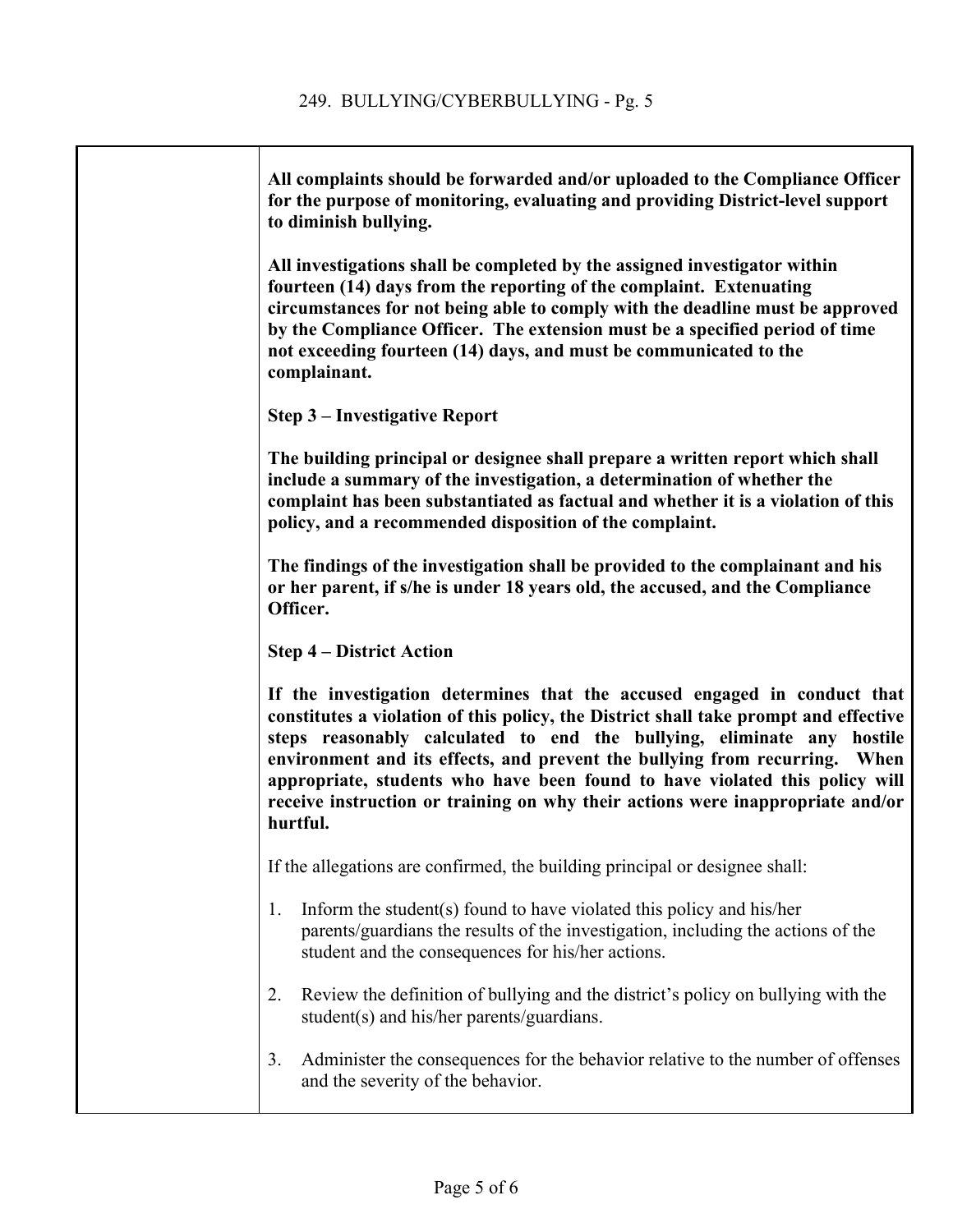| All complaints should be forwarded and/or uploaded to the Compliance Officer<br>for the purpose of monitoring, evaluating and providing District-level support<br>to diminish bullying.                                                                                                                                                                                                                                                                                                               |
|-------------------------------------------------------------------------------------------------------------------------------------------------------------------------------------------------------------------------------------------------------------------------------------------------------------------------------------------------------------------------------------------------------------------------------------------------------------------------------------------------------|
| All investigations shall be completed by the assigned investigator within<br>fourteen (14) days from the reporting of the complaint. Extenuating<br>circumstances for not being able to comply with the deadline must be approved<br>by the Compliance Officer. The extension must be a specified period of time<br>not exceeding fourteen (14) days, and must be communicated to the<br>complainant.                                                                                                 |
| <b>Step 3 – Investigative Report</b>                                                                                                                                                                                                                                                                                                                                                                                                                                                                  |
| The building principal or designee shall prepare a written report which shall<br>include a summary of the investigation, a determination of whether the<br>complaint has been substantiated as factual and whether it is a violation of this<br>policy, and a recommended disposition of the complaint.                                                                                                                                                                                               |
| The findings of the investigation shall be provided to the complainant and his<br>or her parent, if s/he is under 18 years old, the accused, and the Compliance<br>Officer.                                                                                                                                                                                                                                                                                                                           |
| <b>Step 4 – District Action</b>                                                                                                                                                                                                                                                                                                                                                                                                                                                                       |
| If the investigation determines that the accused engaged in conduct that<br>constitutes a violation of this policy, the District shall take prompt and effective<br>steps reasonably calculated to end the bullying, eliminate any hostile<br>environment and its effects, and prevent the bullying from recurring. When<br>appropriate, students who have been found to have violated this policy will<br>receive instruction or training on why their actions were inappropriate and/or<br>hurtful. |
| If the allegations are confirmed, the building principal or designee shall:                                                                                                                                                                                                                                                                                                                                                                                                                           |
| Inform the student(s) found to have violated this policy and his/her<br>1.<br>parents/guardians the results of the investigation, including the actions of the<br>student and the consequences for his/her actions.                                                                                                                                                                                                                                                                                   |
| Review the definition of bullying and the district's policy on bullying with the<br>2.<br>student(s) and his/her parents/guardians.                                                                                                                                                                                                                                                                                                                                                                   |
| Administer the consequences for the behavior relative to the number of offenses<br>3.<br>and the severity of the behavior.                                                                                                                                                                                                                                                                                                                                                                            |
|                                                                                                                                                                                                                                                                                                                                                                                                                                                                                                       |